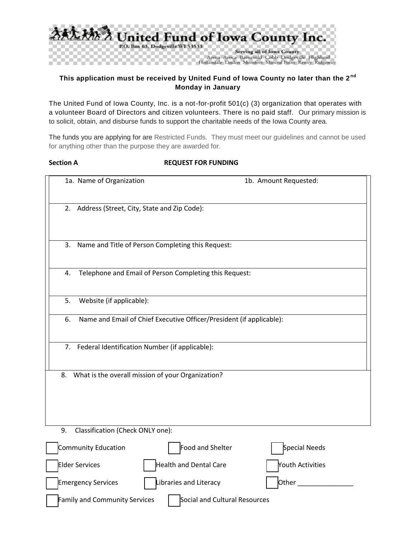

# **This application must be received by United Fund of Iowa County no later than the 2 nd Monday in January**

The United Fund of Iowa County, Inc. is a not-for-profit 501(c) (3) organization that operates with a volunteer Board of Directors and citizen volunteers. There is no paid staff. Our primary mission is to solicit, obtain, and disburse funds to support the charitable needs of the Iowa County area.

The funds you are applying for are Restricted Funds. They must meet our guidelines and cannot be used for anything other than the purpose they are awarded for.

#### **Section A REQUEST FOR FUNDING**

|                                        | 1a. Name of Organization                                                   |                                                        |  | 1b. Amount Requested: |  |  |
|----------------------------------------|----------------------------------------------------------------------------|--------------------------------------------------------|--|-----------------------|--|--|
|                                        | 2. Address (Street, City, State and Zip Code):                             |                                                        |  |                       |  |  |
|                                        | 3.                                                                         | Name and Title of Person Completing this Request:      |  |                       |  |  |
|                                        | 4.                                                                         | Telephone and Email of Person Completing this Request: |  |                       |  |  |
|                                        | 5.<br>Website (if applicable):                                             |                                                        |  |                       |  |  |
|                                        | Name and Email of Chief Executive Officer/President (if applicable):<br>6. |                                                        |  |                       |  |  |
|                                        | 7. Federal Identification Number (if applicable):                          |                                                        |  |                       |  |  |
|                                        | 8.                                                                         | What is the overall mission of your Organization?      |  |                       |  |  |
| Classification (Check ONLY one):<br>9. |                                                                            |                                                        |  |                       |  |  |
|                                        | Community Education                                                        | Food and Shelter                                       |  | Special Needs         |  |  |
|                                        | <b>Elder Services</b>                                                      | Health and Dental Care                                 |  | Youth Activities      |  |  |

Emergency Services  $\parallel$  Libraries and Literacy  $\parallel$  Other

Family and Community Services | Social and Cultural Resources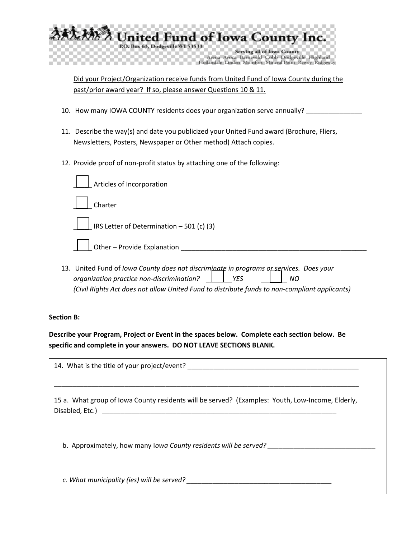

Did your Project/Organization receive funds from United Fund of Iowa County during the past/prior award year? If so, please answer Questions 10 & 11.

- 10. How many IOWA COUNTY residents does your organization serve annually?
- 11. Describe the way(s) and date you publicized your United Fund award (Brochure, Fliers, Newsletters, Posters, Newspaper or Other method) Attach copies.
- 12. Provide proof of non-profit status by attaching one of the following:

| Articles of Incorporation                 |
|-------------------------------------------|
| Charter                                   |
| IRS Letter of Determination - 501 (c) (3) |
| Other – Provide Explanation ________      |

13. United Fund of *Iowa County does not discriminate in programs or services. Does your organization practice non-discrimination? \_\_\_\_\_\_\_YES \_\_\_\_\_\_\_ NO (Civil Rights Act does not allow United Fund to distribute funds to non-compliant applicants)*

## **Section B:**

**Describe your Program, Project or Event in the spaces below. Complete each section below. Be specific and complete in your answers. DO NOT LEAVE SECTIONS BLANK.** 

| 14. What is the title of your project/event?                                                     |  |
|--------------------------------------------------------------------------------------------------|--|
| 15 a. What group of lowa County residents will be served? (Examples: Youth, Low-Income, Elderly, |  |
| b. Approximately, how many lowa County residents will be served?                                 |  |
| c. What municipality (ies) will be served?                                                       |  |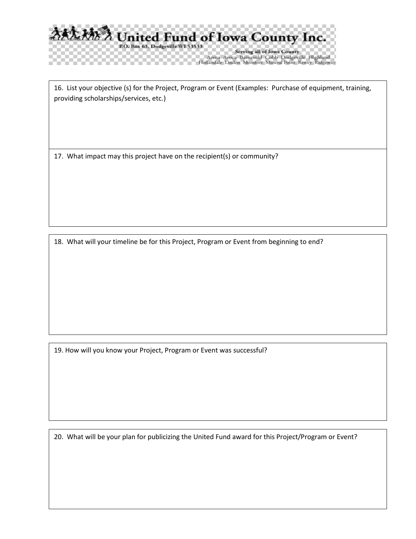

Arena Avoca Barneveld Cobb Dodgeville Highland<br>Hollandale Linden Montfort Mineral Point Rewey Ridgeway

16. List your objective (s) for the Project, Program or Event (Examples: Purchase of equipment, training, providing scholarships/services, etc.)

17. What impact may this project have on the recipient(s) or community?

18. What will your timeline be for this Project, Program or Event from beginning to end?

19. How will you know your Project, Program or Event was successful?

20. What will be your plan for publicizing the United Fund award for this Project/Program or Event?